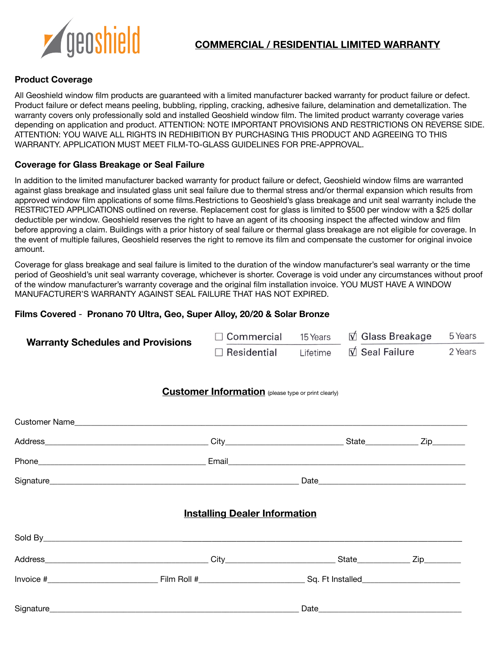

# **COMMERCIAL / RESIDENTIAL LIMITED WARRANTY**

### **Product Coverage**

All Geoshield window film products are guaranteed with a limited manufacturer backed warranty for product failure or defect. Product failure or defect means peeling, bubbling, rippling, cracking, adhesive failure, delamination and demetallization. The warranty covers only professionally sold and installed Geoshield window film. The limited product warranty coverage varies depending on application and product. ATTENTION: NOTE IMPORTANT PROVISIONS AND RESTRICTIONS ON REVERSE SIDE. ATTENTION: YOU WAIVE ALL RIGHTS IN REDHIBITION BY PURCHASING THIS PRODUCT AND AGREEING TO THIS WARRANTY. APPLICATION MUST MEET FILM-TO-GLASS GUIDELINES FOR PRE-APPROVAL.

#### **Coverage for Glass Breakage or Seal Failure**

In addition to the limited manufacturer backed warranty for product failure or defect, Geoshield window films are warranted against glass breakage and insulated glass unit seal failure due to thermal stress and/or thermal expansion which results from approved window film applications of some films.Restrictions to Geoshield's glass breakage and unit seal warranty include the RESTRICTED APPLICATIONS outlined on reverse. Replacement cost for glass is limited to \$500 per window with a \$25 dollar deductible per window. Geoshield reserves the right to have an agent of its choosing inspect the affected window and film before approving a claim. Buildings with a prior history of seal failure or thermal glass breakage are not eligible for coverage. In the event of multiple failures, Geoshield reserves the right to remove its film and compensate the customer for original invoice amount.

Coverage for glass breakage and seal failure is limited to the duration of the window manufacturer's seal warranty or the time period of Geoshield's unit seal warranty coverage, whichever is shorter. Coverage is void under any circumstances without proof of the window manufacturer's warranty coverage and the original film installation invoice. YOU MUST HAVE A WINDOW MANUFACTURER'S WARRANTY AGAINST SEAL FAILURE THAT HAS NOT EXPIRED.

#### **Films Covered** - **Pronano 70 Ultra, Geo, Super Alloy, 20/20 & Solar Bronze**

| <b>Warranty Schedules and Provisions</b> | $\Box$ Commercial                                          | 15 Years | $\overrightarrow{V}$ Glass Breakage<br>$\overline{\mathsf{V}}$ Seal Failure |  | 5 Years |
|------------------------------------------|------------------------------------------------------------|----------|-----------------------------------------------------------------------------|--|---------|
|                                          | $\Box$ Residential                                         | Lifetime |                                                                             |  | 2 Years |
|                                          | <b>Customer Information</b> (please type or print clearly) |          |                                                                             |  |         |
|                                          |                                                            |          |                                                                             |  |         |
|                                          |                                                            |          |                                                                             |  |         |
|                                          |                                                            |          |                                                                             |  |         |
|                                          |                                                            |          |                                                                             |  |         |
|                                          | <b>Installing Dealer Information</b>                       |          |                                                                             |  |         |
|                                          |                                                            |          |                                                                             |  |         |
|                                          |                                                            |          |                                                                             |  |         |
|                                          |                                                            |          |                                                                             |  |         |
|                                          |                                                            |          |                                                                             |  |         |